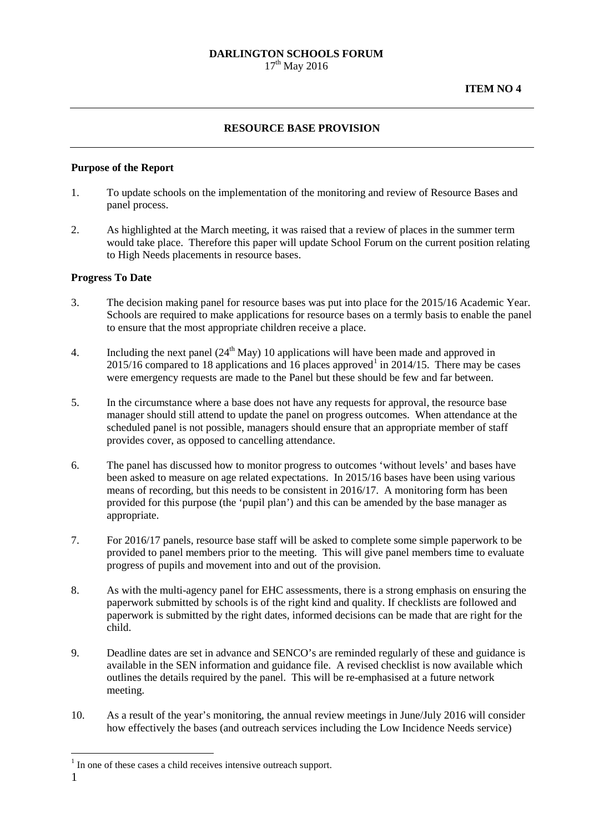## **RESOURCE BASE PROVISION**

### **Purpose of the Report**

- 1. To update schools on the implementation of the monitoring and review of Resource Bases and panel process.
- 2. As highlighted at the March meeting, it was raised that a review of places in the summer term would take place. Therefore this paper will update School Forum on the current position relating to High Needs placements in resource bases.

### **Progress To Date**

- 3. The decision making panel for resource bases was put into place for the 2015/16 Academic Year. Schools are required to make applications for resource bases on a termly basis to enable the panel to ensure that the most appropriate children receive a place.
- 4. Including the next panel  $(24<sup>th</sup> \text{ May})$  10 applications will have been made and approved in  $2015/16$  $2015/16$  $2015/16$  compared to 18 applications and 16 places approved<sup>1</sup> in 2014/15. There may be cases were emergency requests are made to the Panel but these should be few and far between.
- 5. In the circumstance where a base does not have any requests for approval, the resource base manager should still attend to update the panel on progress outcomes. When attendance at the scheduled panel is not possible, managers should ensure that an appropriate member of staff provides cover, as opposed to cancelling attendance.
- 6. The panel has discussed how to monitor progress to outcomes 'without levels' and bases have been asked to measure on age related expectations. In 2015/16 bases have been using various means of recording, but this needs to be consistent in 2016/17. A monitoring form has been provided for this purpose (the 'pupil plan') and this can be amended by the base manager as appropriate.
- 7. For 2016/17 panels, resource base staff will be asked to complete some simple paperwork to be provided to panel members prior to the meeting. This will give panel members time to evaluate progress of pupils and movement into and out of the provision.
- 8. As with the multi-agency panel for EHC assessments, there is a strong emphasis on ensuring the paperwork submitted by schools is of the right kind and quality. If checklists are followed and paperwork is submitted by the right dates, informed decisions can be made that are right for the child.
- 9. Deadline dates are set in advance and SENCO's are reminded regularly of these and guidance is available in the SEN information and guidance file. A revised checklist is now available which outlines the details required by the panel. This will be re-emphasised at a future network meeting.
- 10. As a result of the year's monitoring, the annual review meetings in June/July 2016 will consider how effectively the bases (and outreach services including the Low Incidence Needs service)

<span id="page-0-0"></span> $<sup>1</sup>$  In one of these cases a child receives intensive outreach support.</sup> -